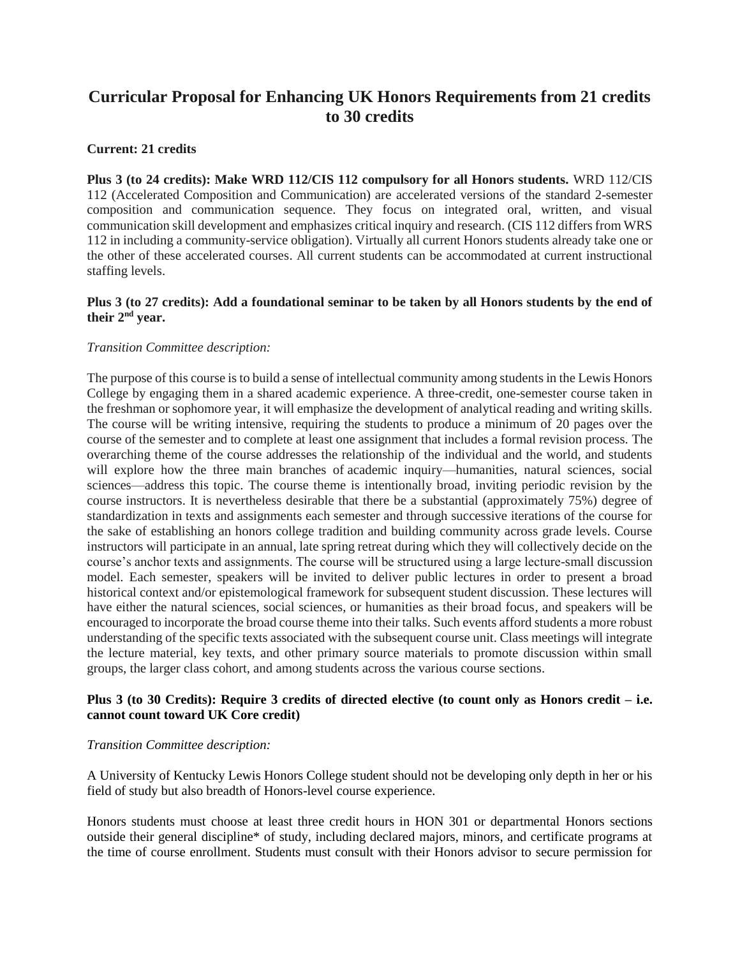# **Curricular Proposal for Enhancing UK Honors Requirements from 21 credits to 30 credits**

## **Current: 21 credits**

**Plus 3 (to 24 credits): Make WRD 112/CIS 112 compulsory for all Honors students.** WRD 112/CIS 112 (Accelerated Composition and Communication) are accelerated versions of the standard 2-semester composition and communication sequence. They focus on integrated oral, written, and visual communication skill development and emphasizes critical inquiry and research. (CIS 112 differs from WRS 112 in including a community-service obligation). Virtually all current Honors students already take one or the other of these accelerated courses. All current students can be accommodated at current instructional staffing levels.

## **Plus 3 (to 27 credits): Add a foundational seminar to be taken by all Honors students by the end of their 2nd year.**

## *Transition Committee description:*

The purpose of this course is to build a sense of intellectual community among students in the Lewis Honors College by engaging them in a shared academic experience. A three-credit, one-semester course taken in the freshman or sophomore year, it will emphasize the development of analytical reading and writing skills. The course will be writing intensive, requiring the students to produce a minimum of 20 pages over the course of the semester and to complete at least one assignment that includes a formal revision process. The overarching theme of the course addresses the relationship of the individual and the world, and students will explore how the three main branches of academic inquiry—humanities, natural sciences, social sciences—address this topic. The course theme is intentionally broad, inviting periodic revision by the course instructors. It is nevertheless desirable that there be a substantial (approximately 75%) degree of standardization in texts and assignments each semester and through successive iterations of the course for the sake of establishing an honors college tradition and building community across grade levels. Course instructors will participate in an annual, late spring retreat during which they will collectively decide on the course's anchor texts and assignments. The course will be structured using a large lecture-small discussion model. Each semester, speakers will be invited to deliver public lectures in order to present a broad historical context and/or epistemological framework for subsequent student discussion. These lectures will have either the natural sciences, social sciences, or humanities as their broad focus, and speakers will be encouraged to incorporate the broad course theme into their talks. Such events afford students a more robust understanding of the specific texts associated with the subsequent course unit. Class meetings will integrate the lecture material, key texts, and other primary source materials to promote discussion within small groups, the larger class cohort, and among students across the various course sections.

## **Plus 3 (to 30 Credits): Require 3 credits of directed elective (to count only as Honors credit – i.e. cannot count toward UK Core credit)**

#### *Transition Committee description:*

A University of Kentucky Lewis Honors College student should not be developing only depth in her or his field of study but also breadth of Honors-level course experience.

Honors students must choose at least three credit hours in HON 301 or departmental Honors sections outside their general discipline\* of study, including declared majors, minors, and certificate programs at the time of course enrollment. Students must consult with their Honors advisor to secure permission for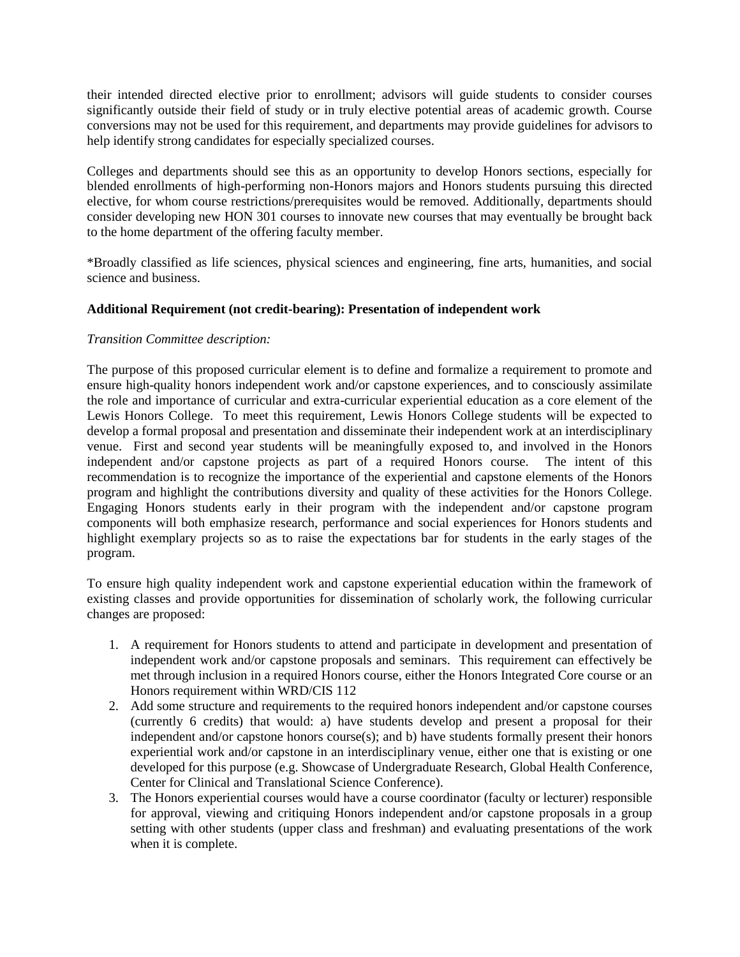their intended directed elective prior to enrollment; advisors will guide students to consider courses significantly outside their field of study or in truly elective potential areas of academic growth. Course conversions may not be used for this requirement, and departments may provide guidelines for advisors to help identify strong candidates for especially specialized courses.

Colleges and departments should see this as an opportunity to develop Honors sections, especially for blended enrollments of high-performing non-Honors majors and Honors students pursuing this directed elective, for whom course restrictions/prerequisites would be removed. Additionally, departments should consider developing new HON 301 courses to innovate new courses that may eventually be brought back to the home department of the offering faculty member.

\*Broadly classified as life sciences, physical sciences and engineering, fine arts, humanities, and social science and business.

## **Additional Requirement (not credit-bearing): Presentation of independent work**

## *Transition Committee description:*

The purpose of this proposed curricular element is to define and formalize a requirement to promote and ensure high-quality honors independent work and/or capstone experiences, and to consciously assimilate the role and importance of curricular and extra-curricular experiential education as a core element of the Lewis Honors College. To meet this requirement, Lewis Honors College students will be expected to develop a formal proposal and presentation and disseminate their independent work at an interdisciplinary venue. First and second year students will be meaningfully exposed to, and involved in the Honors independent and/or capstone projects as part of a required Honors course. The intent of this recommendation is to recognize the importance of the experiential and capstone elements of the Honors program and highlight the contributions diversity and quality of these activities for the Honors College. Engaging Honors students early in their program with the independent and/or capstone program components will both emphasize research, performance and social experiences for Honors students and highlight exemplary projects so as to raise the expectations bar for students in the early stages of the program.

To ensure high quality independent work and capstone experiential education within the framework of existing classes and provide opportunities for dissemination of scholarly work, the following curricular changes are proposed:

- 1. A requirement for Honors students to attend and participate in development and presentation of independent work and/or capstone proposals and seminars. This requirement can effectively be met through inclusion in a required Honors course, either the Honors Integrated Core course or an Honors requirement within WRD/CIS 112
- 2. Add some structure and requirements to the required honors independent and/or capstone courses (currently 6 credits) that would: a) have students develop and present a proposal for their independent and/or capstone honors course(s); and b) have students formally present their honors experiential work and/or capstone in an interdisciplinary venue, either one that is existing or one developed for this purpose (e.g. Showcase of Undergraduate Research, Global Health Conference, Center for Clinical and Translational Science Conference).
- 3. The Honors experiential courses would have a course coordinator (faculty or lecturer) responsible for approval, viewing and critiquing Honors independent and/or capstone proposals in a group setting with other students (upper class and freshman) and evaluating presentations of the work when it is complete.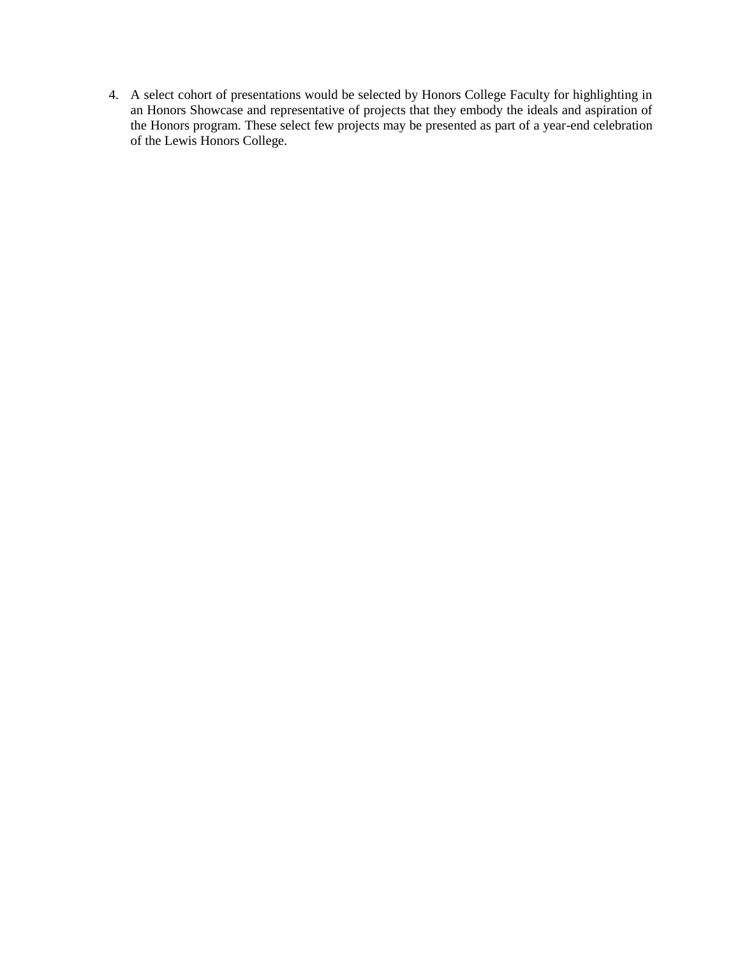4. A select cohort of presentations would be selected by Honors College Faculty for highlighting in an Honors Showcase and representative of projects that they embody the ideals and aspiration of the Honors program. These select few projects may be presented as part of a year-end celebration of the Lewis Honors College.